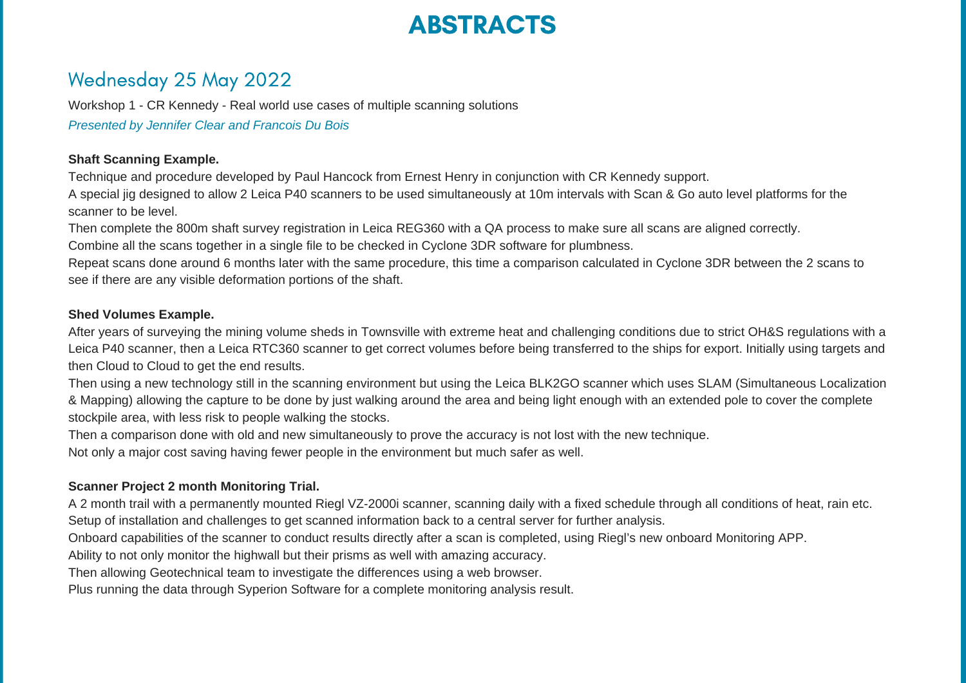# ABSTRACTS

# Wednesday 25 May 2022

Workshop 1 - CR Kennedy - Real world use cases of multiple scanning solutions *Presented by Jennifer Clear and Francois Du Bois*

# **Shaft Scanning Example.**

Technique and procedure developed by Paul Hancock from Ernest Henry in conjunction with CR Kennedy support.

A special jig designed to allow 2 Leica P40 scanners to be used simultaneously at 10m intervals with Scan & Go auto level platforms for the scanner to be level.

Then complete the 800m shaft survey registration in Leica REG360 with a QA process to make sure all scans are aligned correctly.

Combine all the scans together in a single file to be checked in Cyclone 3DR software for plumbness.

Repeat scans done around 6 months later with the same procedure, this time a comparison calculated in Cyclone 3DR between the 2 scans to see if there are any visible deformation portions of the shaft.

# **Shed Volumes Example.**

After years of surveying the mining volume sheds in Townsville with extreme heat and challenging conditions due to strict OH&S regulations with a Leica P40 scanner, then a Leica RTC360 scanner to get correct volumes before being transferred to the ships for export. Initially using targets and then Cloud to Cloud to get the end results.

Then using a new technology still in the scanning environment but using the Leica BLK2GO scanner which uses SLAM (Simultaneous Localization & Mapping) allowing the capture to be done by just walking around the area and being light enough with an extended pole to cover the complete stockpile area, with less risk to people walking the stocks.

Then a comparison done with old and new simultaneously to prove the accuracy is not lost with the new technique.

Not only a major cost saving having fewer people in the environment but much safer as well.

# **Scanner Project 2 month Monitoring Trial.**

A 2 month trail with a permanently mounted Riegl VZ-2000i scanner, scanning daily with a fixed schedule through all conditions of heat, rain etc. Setup of installation and challenges to get scanned information back to a central server for further analysis.

Onboard capabilities of the scanner to conduct results directly after a scan is completed, using Riegl's new onboard Monitoring APP.

Ability to not only monitor the highwall but their prisms as well with amazing accuracy.

Then allowing Geotechnical team to investigate the differences using a web browser.

Plus running the data through Syperion Software for a complete monitoring analysis result.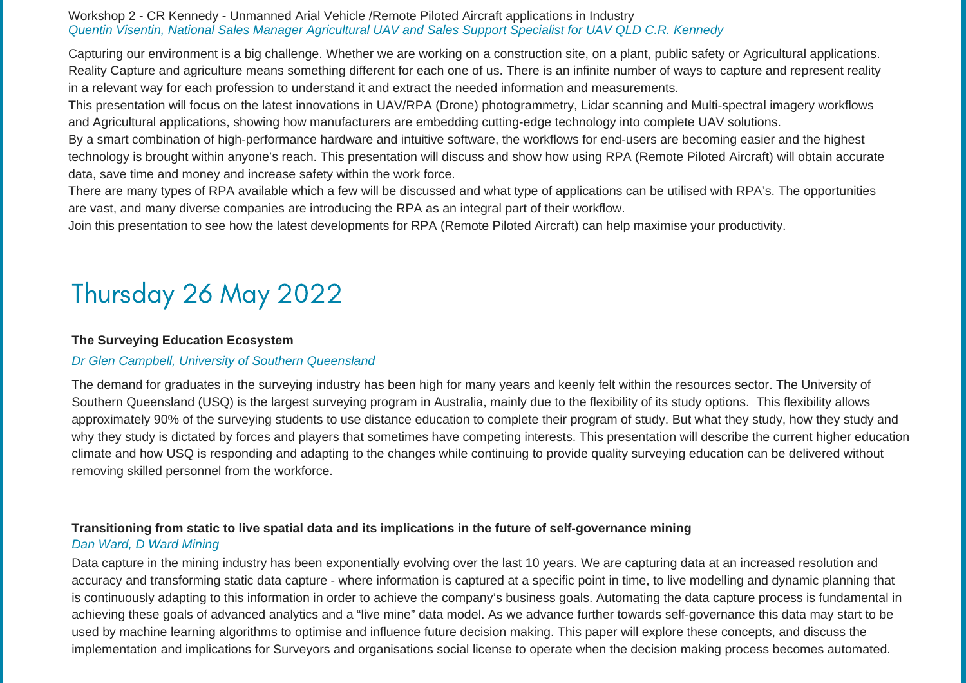# Workshop 2 - CR Kennedy - Unmanned Arial Vehicle /Remote Piloted Aircraft applications in Industry *Quentin Visentin, National Sales Manager Agricultural UAV and Sales Support Specialist for UAV QLD C.R. Kennedy*

Capturing our environment is a big challenge. Whether we are working on a construction site, on a plant, public safety or Agricultural applications. Reality Capture and agriculture means something different for each one of us. There is an infinite number of ways to capture and represent reality in a relevant way for each profession to understand it and extract the needed information and measurements.

This presentation will focus on the latest innovations in UAV/RPA (Drone) photogrammetry, Lidar scanning and Multi-spectral imagery workflows and Agricultural applications, showing how manufacturers are embedding cutting-edge technology into complete UAV solutions.

By a smart combination of high-performance hardware and intuitive software, the workflows for end-users are becoming easier and the highest technology is brought within anyone's reach. This presentation will discuss and show how using RPA (Remote Piloted Aircraft) will obtain accurate data, save time and money and increase safety within the work force.

There are many types of RPA available which a few will be discussed and what type of applications can be utilised with RPA's. The opportunities are vast, and many diverse companies are introducing the RPA as an integral part of their workflow.

Join this presentation to see how the latest developments for RPA (Remote Piloted Aircraft) can help maximise your productivity.

# Thursday 26 May 2022

### **The Surveying Education Ecosystem**

# *Dr Glen Campbell, University of Southern Queensland*

The demand for graduates in the surveying industry has been high for many years and keenly felt within the resources sector. The University of Southern Queensland (USQ) is the largest surveying program in Australia, mainly due to the flexibility of its study options. This flexibility allows approximately 90% of the surveying students to use distance education to complete their program of study. But what they study, how they study and why they study is dictated by forces and players that sometimes have competing interests. This presentation will describe the current higher education climate and how USQ is responding and adapting to the changes while continuing to provide quality surveying education can be delivered without removing skilled personnel from the workforce.

# **Transitioning from static to live spatial data and its implications in the future of self-governance mining** *Dan Ward, D Ward Mining*

Data capture in the mining industry has been exponentially evolving over the last 10 years. We are capturing data at an increased resolution and accuracy and transforming static data capture - where information is captured at a specific point in time, to live modelling and dynamic planning that is continuously adapting to this information in order to achieve the company's business goals. Automating the data capture process is fundamental in achieving these goals of advanced analytics and a "live mine" data model. As we advance further towards self-governance this data may start to be used by machine learning algorithms to optimise and influence future decision making. This paper will explore these concepts, and discuss the implementation and implications for Surveyors and organisations social license to operate when the decision making process becomes automated.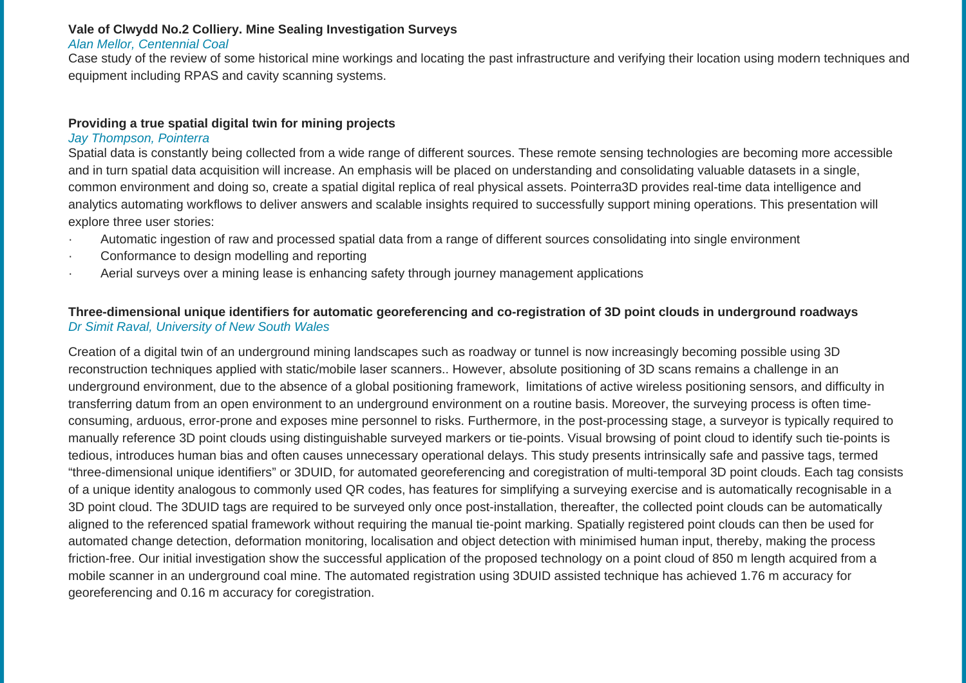### **Vale of Clwydd No.2 Colliery. Mine Sealing Investigation Surveys**

#### *Alan Mellor, Centennial Coal*

Case study of the review of some historical mine workings and locating the past infrastructure and verifying their location using modern techniques and equipment including RPAS and cavity scanning systems.

# **Providing a true spatial digital twin for mining projects**

### *Jay Thompson, Pointerra*

Spatial data is constantly being collected from a wide range of different sources. These remote sensing technologies are becoming more accessible and in turn spatial data acquisition will increase. An emphasis will be placed on understanding and consolidating valuable datasets in a single, common environment and doing so, create a spatial digital replica of real physical assets. Pointerra3D provides real-time data intelligence and analytics automating workflows to deliver answers and scalable insights required to successfully support mining operations. This presentation will explore three user stories:

- · Automatic ingestion of raw and processed spatial data from a range of different sources consolidating into single environment
- · Conformance to design modelling and reporting
- Aerial surveys over a mining lease is enhancing safety through journey management applications

# Three-dimensional unique identifiers for automatic georeferencing and co-registration of 3D point clouds in underground roadways *Dr Simit Raval, University of New South Wales*

Creation of a digital twin of an underground mining landscapes such as roadway or tunnel is now increasingly becoming possible using 3D reconstruction techniques applied with static/mobile laser scanners.. However, absolute positioning of 3D scans remains a challenge in an underground environment, due to the absence of a global positioning framework, limitations of active wireless positioning sensors, and difficulty in transferring datum from an open environment to an underground environment on a routine basis. Moreover, the surveying process is often timeconsuming, arduous, error-prone and exposes mine personnel to risks. Furthermore, in the post-processing stage, a surveyor is typically required to manually reference 3D point clouds using distinguishable surveyed markers or tie-points. Visual browsing of point cloud to identify such tie-points is tedious, introduces human bias and often causes unnecessary operational delays. This study presents intrinsically safe and passive tags, termed "three-dimensional unique identifiers" or 3DUID, for automated georeferencing and coregistration of multi-temporal 3D point clouds. Each tag consists of a unique identity analogous to commonly used QR codes, has features for simplifying a surveying exercise and is automatically recognisable in a 3D point cloud. The 3DUID tags are required to be surveyed only once post-installation, thereafter, the collected point clouds can be automatically aligned to the referenced spatial framework without requiring the manual tie-point marking. Spatially registered point clouds can then be used for automated change detection, deformation monitoring, localisation and object detection with minimised human input, thereby, making the process friction-free. Our initial investigation show the successful application of the proposed technology on a point cloud of 850 m length acquired from a mobile scanner in an underground coal mine. The automated registration using 3DUID assisted technique has achieved 1.76 m accuracy for georeferencing and 0.16 m accuracy for coregistration.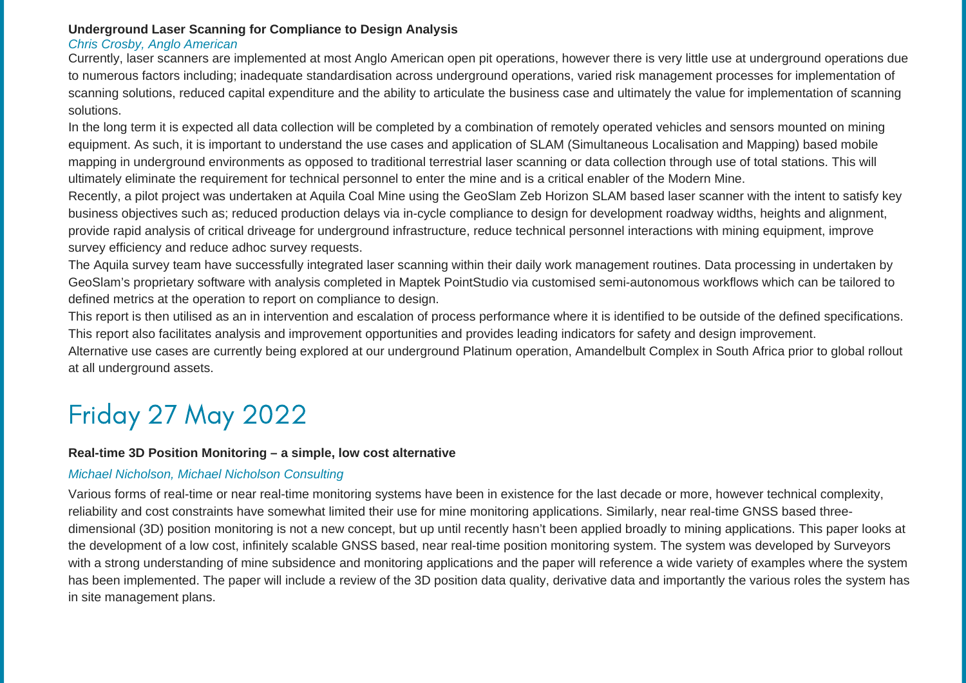## **Underground Laser Scanning for Compliance to Design Analysis**

#### *Chris Crosby, Anglo American*

Currently, laser scanners are implemented at most Anglo American open pit operations, however there is very little use at underground operations due to numerous factors including; inadequate standardisation across underground operations, varied risk management processes for implementation of scanning solutions, reduced capital expenditure and the ability to articulate the business case and ultimately the value for implementation of scanning solutions.

In the long term it is expected all data collection will be completed by a combination of remotely operated vehicles and sensors mounted on mining equipment. As such, it is important to understand the use cases and application of SLAM (Simultaneous Localisation and Mapping) based mobile mapping in underground environments as opposed to traditional terrestrial laser scanning or data collection through use of total stations. This will ultimately eliminate the requirement for technical personnel to enter the mine and is a critical enabler of the Modern Mine.

Recently, a pilot project was undertaken at Aquila Coal Mine using the GeoSlam Zeb Horizon SLAM based laser scanner with the intent to satisfy key business objectives such as; reduced production delays via in-cycle compliance to design for development roadway widths, heights and alignment, provide rapid analysis of critical driveage for underground infrastructure, reduce technical personnel interactions with mining equipment, improve survey efficiency and reduce adhoc survey requests.

The Aquila survey team have successfully integrated laser scanning within their daily work management routines. Data processing in undertaken by GeoSlam's proprietary software with analysis completed in Maptek PointStudio via customised semi-autonomous workflows which can be tailored to defined metrics at the operation to report on compliance to design.

This report is then utilised as an in intervention and escalation of process performance where it is identified to be outside of the defined specifications. This report also facilitates analysis and improvement opportunities and provides leading indicators for safety and design improvement.

Alternative use cases are currently being explored at our underground Platinum operation, Amandelbult Complex in South Africa prior to global rollout at all underground assets.

# Friday 27 May 2022

# **Real-time 3D Position Monitoring – a simple, low cost alternative**

# *Michael Nicholson, Michael Nicholson Consulting*

Various forms of real-time or near real-time monitoring systems have been in existence for the last decade or more, however technical complexity, reliability and cost constraints have somewhat limited their use for mine monitoring applications. Similarly, near real-time GNSS based threedimensional (3D) position monitoring is not a new concept, but up until recently hasn't been applied broadly to mining applications. This paper looks at the development of a low cost, infinitely scalable GNSS based, near real-time position monitoring system. The system was developed by Surveyors with a strong understanding of mine subsidence and monitoring applications and the paper will reference a wide variety of examples where the system has been implemented. The paper will include a review of the 3D position data quality, derivative data and importantly the various roles the system has in site management plans.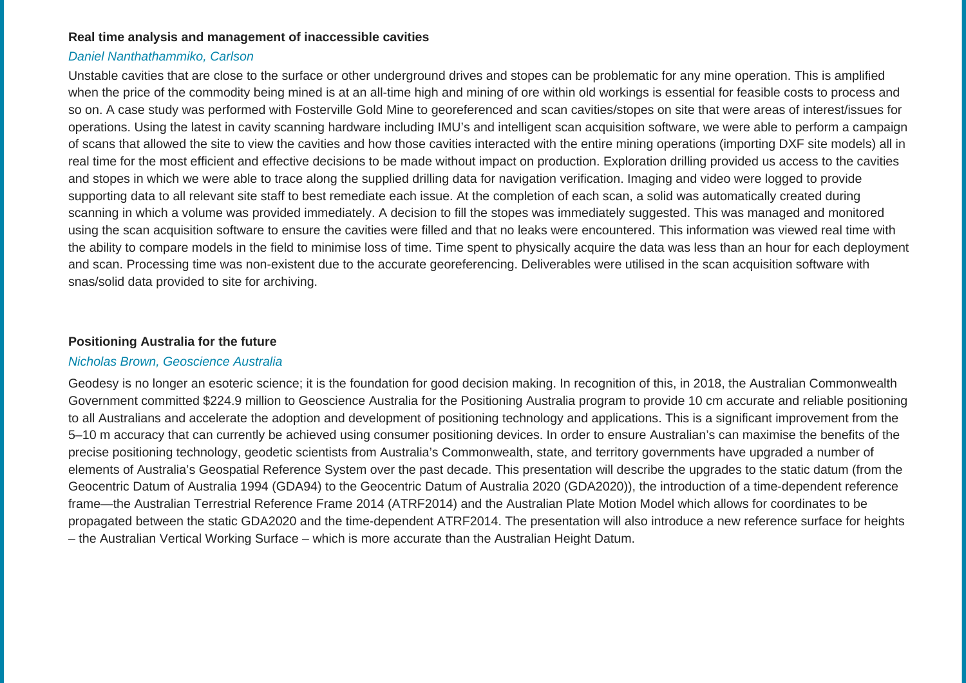#### **Real time analysis and management of inaccessible cavities**

### *Daniel Nanthathammiko, Carlson*

Unstable cavities that are close to the surface or other underground drives and stopes can be problematic for any mine operation. This is amplified when the price of the commodity being mined is at an all-time high and mining of ore within old workings is essential for feasible costs to process and so on. A case study was performed with Fosterville Gold Mine to georeferenced and scan cavities/stopes on site that were areas of interest/issues for operations. Using the latest in cavity scanning hardware including IMU's and intelligent scan acquisition software, we were able to perform a campaign of scans that allowed the site to view the cavities and how those cavities interacted with the entire mining operations (importing DXF site models) all in real time for the most efficient and effective decisions to be made without impact on production. Exploration drilling provided us access to the cavities and stopes in which we were able to trace along the supplied drilling data for navigation verification. Imaging and video were logged to provide supporting data to all relevant site staff to best remediate each issue. At the completion of each scan, a solid was automatically created during scanning in which a volume was provided immediately. A decision to fill the stopes was immediately suggested. This was managed and monitored using the scan acquisition software to ensure the cavities were filled and that no leaks were encountered. This information was viewed real time with the ability to compare models in the field to minimise loss of time. Time spent to physically acquire the data was less than an hour for each deployment and scan. Processing time was non-existent due to the accurate georeferencing. Deliverables were utilised in the scan acquisition software with snas/solid data provided to site for archiving.

#### **Positioning Australia for the future**

#### *Nicholas Brown, Geoscience Australia*

Geodesy is no longer an esoteric science; it is the foundation for good decision making. In recognition of this, in 2018, the Australian Commonwealth Government committed \$224.9 million to Geoscience Australia for the Positioning Australia program to provide 10 cm accurate and reliable positioning to all Australians and accelerate the adoption and development of positioning technology and applications. This is a significant improvement from the 5–10 m accuracy that can currently be achieved using consumer positioning devices. In order to ensure Australian's can maximise the benefits of the precise positioning technology, geodetic scientists from Australia's Commonwealth, state, and territory governments have upgraded a number of elements of Australia's Geospatial Reference System over the past decade. This presentation will describe the upgrades to the static datum (from the Geocentric Datum of Australia 1994 (GDA94) to the Geocentric Datum of Australia 2020 (GDA2020)), the introduction of a time-dependent reference frame—the Australian Terrestrial Reference Frame 2014 (ATRF2014) and the Australian Plate Motion Model which allows for coordinates to be propagated between the static GDA2020 and the time-dependent ATRF2014. The presentation will also introduce a new reference surface for heights – the Australian Vertical Working Surface – which is more accurate than the Australian Height Datum.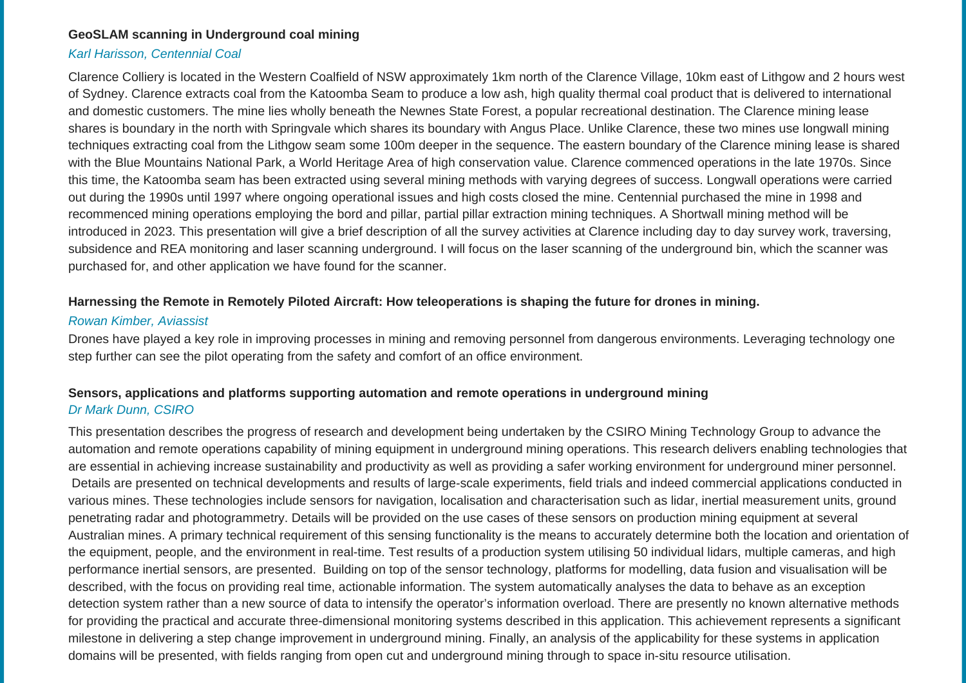#### **GeoSLAM scanning in Underground coal mining**

#### *Karl Harisson, Centennial Coal*

Clarence Colliery is located in the Western Coalfield of NSW approximately 1km north of the Clarence Village, 10km east of Lithgow and 2 hours west of Sydney. Clarence extracts coal from the Katoomba Seam to produce a low ash, high quality thermal coal product that is delivered to international and domestic customers. The mine lies wholly beneath the Newnes State Forest, a popular recreational destination. The Clarence mining lease shares is boundary in the north with Springvale which shares its boundary with Angus Place. Unlike Clarence, these two mines use longwall mining techniques extracting coal from the Lithgow seam some 100m deeper in the sequence. The eastern boundary of the Clarence mining lease is shared with the Blue Mountains National Park, a World Heritage Area of high conservation value. Clarence commenced operations in the late 1970s. Since this time, the Katoomba seam has been extracted using several mining methods with varying degrees of success. Longwall operations were carried out during the 1990s until 1997 where ongoing operational issues and high costs closed the mine. Centennial purchased the mine in 1998 and recommenced mining operations employing the bord and pillar, partial pillar extraction mining techniques. A Shortwall mining method will be introduced in 2023. This presentation will give a brief description of all the survey activities at Clarence including day to day survey work, traversing, subsidence and REA monitoring and laser scanning underground. I will focus on the laser scanning of the underground bin, which the scanner was purchased for, and other application we have found for the scanner.

#### Harnessing the Remote in Remotely Piloted Aircraft: How teleoperations is shaping the future for drones in mining.

#### *Rowan Kimber, Aviassist*

Drones have played a key role in improving processes in mining and removing personnel from dangerous environments. Leveraging technology one step further can see the pilot operating from the safety and comfort of an office environment.

# **Sensors, applications and platforms supporting automation and remote operations in underground mining** *Dr Mark Dunn, CSIRO*

This presentation describes the progress of research and development being undertaken by the CSIRO Mining Technology Group to advance the automation and remote operations capability of mining equipment in underground mining operations. This research delivers enabling technologies that are essential in achieving increase sustainability and productivity as well as providing a safer working environment for underground miner personnel. Details are presented on technical developments and results of large-scale experiments, field trials and indeed commercial applications conducted in various mines. These technologies include sensors for navigation, localisation and characterisation such as lidar, inertial measurement units, ground penetrating radar and photogrammetry. Details will be provided on the use cases of these sensors on production mining equipment at several Australian mines. A primary technical requirement of this sensing functionality is the means to accurately determine both the location and orientation of the equipment, people, and the environment in real-time. Test results of a production system utilising 50 individual lidars, multiple cameras, and high performance inertial sensors, are presented. Building on top of the sensor technology, platforms for modelling, data fusion and visualisation will be described, with the focus on providing real time, actionable information. The system automatically analyses the data to behave as an exception detection system rather than a new source of data to intensify the operator's information overload. There are presently no known alternative methods for providing the practical and accurate three-dimensional monitoring systems described in this application. This achievement represents a significant milestone in delivering a step change improvement in underground mining. Finally, an analysis of the applicability for these systems in application domains will be presented, with fields ranging from open cut and underground mining through to space in-situ resource utilisation.